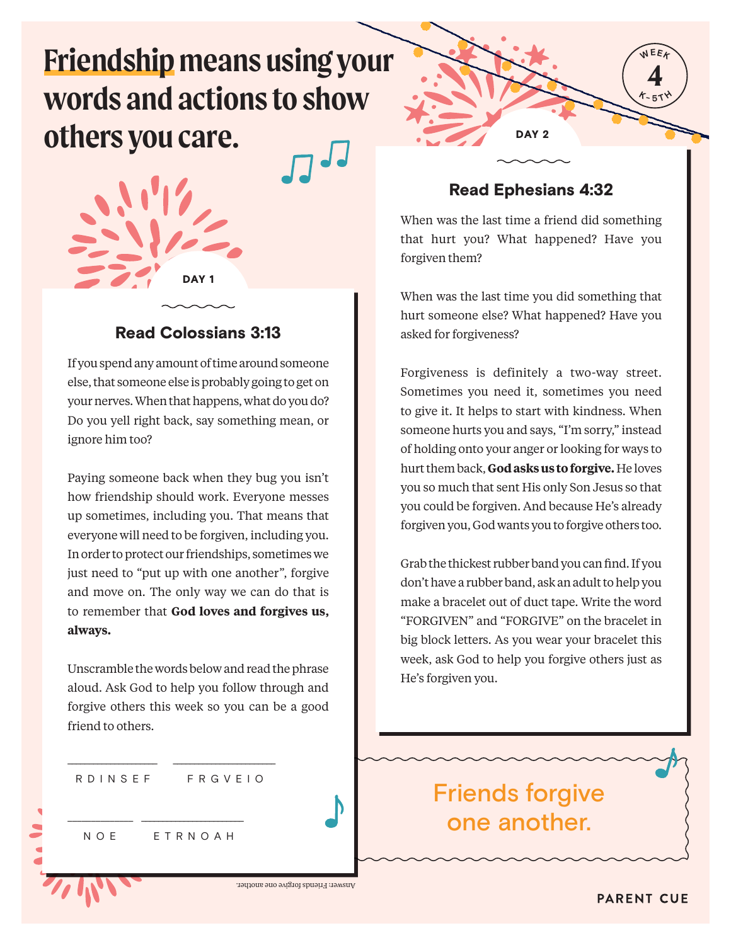# **Friendship means using your words and actions to show others you care.**



### Read Colossians 3:13

If you spend any amount of time around someone else, that someone else is probably going to get on your nerves. When that happens, what do you do? Do you yell right back, say something mean, or ignore him too?

Paying someone back when they bug you isn't how friendship should work. Everyone messes up sometimes, including you. That means that everyone will need to be forgiven, including you. In order to protect our friendships, sometimes we just need to "put up with one another", forgive and move on. The only way we can do that is to remember that **God loves and forgives us, always.** 

Unscramble the words below and read the phrase aloud. Ask God to help you follow through and forgive others this week so you can be a good friend to others.

R D I N S E F F F R G V E I O

\_\_\_\_\_\_\_\_\_\_\_\_\_\_\_\_\_\_\_\_\_ \_\_\_\_\_\_\_\_\_\_\_\_\_\_\_\_\_\_\_\_\_\_\_\_

\_\_\_\_\_\_\_\_\_\_\_\_\_\_ \_\_\_\_\_\_\_\_\_\_\_\_\_\_\_\_\_\_\_\_\_\_\_\_ N O E E T R N O A H

Answer: Friends forgive one another.



### Read Ephesians 4:32

When was the last time a friend did something that hurt you? What happened? Have you forgiven them?

When was the last time you did something that hurt someone else? What happened? Have you asked for forgiveness?

Forgiveness is definitely a two-way street. Sometimes you need it, sometimes you need to give it. It helps to start with kindness. When someone hurts you and says, "I'm sorry," instead of holding onto your anger or looking for ways to hurt them back, **God asks us to forgive.** He loves you so much that sent His only Son Jesus so that you could be forgiven. And because He's already forgiven you, God wants you to forgive others too.

Grab the thickest rubber band you can find. If you don't have a rubber band, ask an adult to help you make a bracelet out of duct tape. Write the word "FORGIVEN" and "FORGIVE" on the bracelet in big block letters. As you wear your bracelet this week, ask God to help you forgive others just as He's forgiven you.

## Friends forgive one another.

**PARENT CUE**